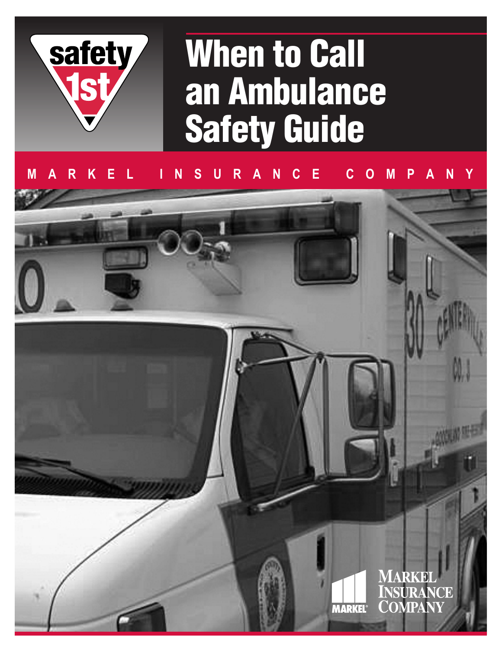

# **When to Call an Ambulance Safety Guide**

## **MARKEL INSURANCE COMPANY**

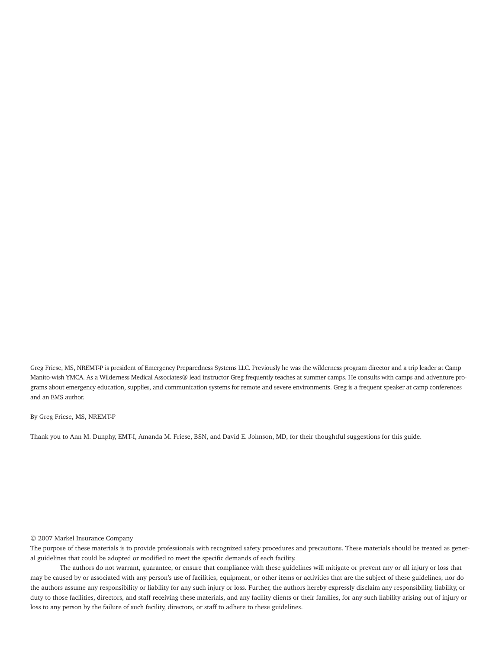Greg Friese, MS, NREMT-P is president of Emergency Preparedness Systems LLC. Previously he was the wilderness program director and a trip leader at Camp Manito-wish YMCA. As a Wilderness Medical Associates® lead instructor Greg frequently teaches at summer camps. He consults with camps and adventure programs about emergency education, supplies, and communication systems for remote and severe environments. Greg is a frequent speaker at camp conferences and an EMS author.

#### By Greg Friese, MS, NREMT-P

Thank you to Ann M. Dunphy, EMT-I, Amanda M. Friese, BSN, and David E. Johnson, MD, for their thoughtful suggestions for this guide.

#### © 2007 Markel Insurance Company

The purpose of these materials is to provide professionals with recognized safety procedures and precautions. These materials should be treated as general guidelines that could be adopted or modified to meet the specific demands of each facility.

The authors do not warrant, guarantee, or ensure that compliance with these guidelines will mitigate or prevent any or all injury or loss that may be caused by or associated with any person's use of facilities, equipment, or other items or activities that are the subject of these guidelines; nor do the authors assume any responsibility or liability for any such injury or loss. Further, the authors hereby expressly disclaim any responsibility, liability, or duty to those facilities, directors, and staff receiving these materials, and any facility clients or their families, for any such liability arising out of injury or loss to any person by the failure of such facility, directors, or staff to adhere to these guidelines.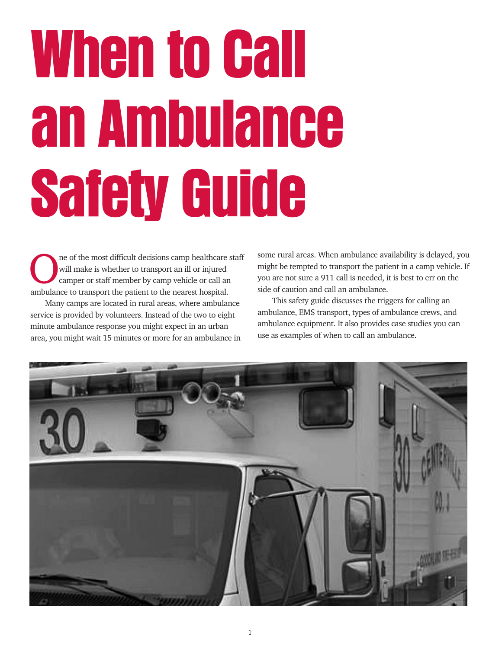# **When to Call an Ambulance Safety Guide**

The of the most difficult decisions camp healthcare staff<br>will make is whether to transport an ill or injured<br>camper or staff member by camp vehicle or call an<br>ambulance to transport the nationt to the necessarily hearital will make is whether to transport an ill or injured camper or staff member by camp vehicle or call an ambulance to transport the patient to the nearest hospital.

Many camps are located in rural areas, where ambulance service is provided by volunteers. Instead of the two to eight minute ambulance response you might expect in an urban area, you might wait 15 minutes or more for an ambulance in

some rural areas. When ambulance availability is delayed, you might be tempted to transport the patient in a camp vehicle. If you are not sure a 911 call is needed, it is best to err on the side of caution and call an ambulance.

This safety guide discusses the triggers for calling an ambulance, EMS transport, types of ambulance crews, and ambulance equipment. It also provides case studies you can use as examples of when to call an ambulance.

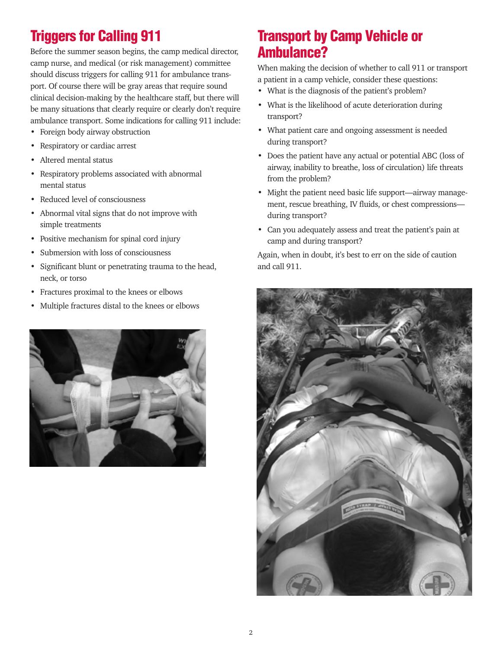# **Triggers for Calling 911**

Before the summer season begins, the camp medical director, camp nurse, and medical (or risk management) committee should discuss triggers for calling 911 for ambulance transport. Of course there will be gray areas that require sound clinical decision-making by the healthcare staff, but there will be many situations that clearly require or clearly don't require ambulance transport. Some indications for calling 911 include:

- Foreign body airway obstruction
- Respiratory or cardiac arrest
- Altered mental status
- Respiratory problems associated with abnormal mental status
- Reduced level of consciousness
- Abnormal vital signs that do not improve with simple treatments
- Positive mechanism for spinal cord injury
- Submersion with loss of consciousness
- Significant blunt or penetrating trauma to the head, neck, or torso
- Fractures proximal to the knees or elbows
- Multiple fractures distal to the knees or elbows



# **Transport by Camp Vehicle or Ambulance?**

When making the decision of whether to call 911 or transport a patient in a camp vehicle, consider these questions:

- What is the diagnosis of the patient's problem?
- What is the likelihood of acute deterioration during transport?
- What patient care and ongoing assessment is needed during transport?
- Does the patient have any actual or potential ABC (loss of airway, inability to breathe, loss of circulation) life threats from the problem?
- Might the patient need basic life support—airway management, rescue breathing, IV fluids, or chest compressions during transport?
- Can you adequately assess and treat the patient's pain at camp and during transport?

Again, when in doubt, it's best to err on the side of caution and call 911.

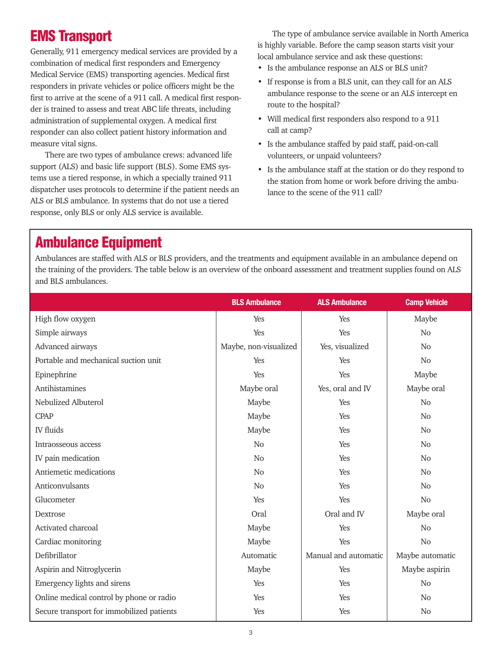# **EMS Transport**

Generally, 911 emergency medical services are provided by a combination of medical first responders and Emergency Medical Service (EMS) transporting agencies. Medical first responders in private vehicles or police officers might be the first to arrive at the scene of a 911 call. A medical first responder is trained to assess and treat ABC life threats, including administration of supplemental oxygen. A medical first responder can also collect patient history information and measure vital signs.

There are two types of ambulance crews: advanced life support (ALS) and basic life support (BLS). Some EMS systems use a tiered response, in which a specially trained 911 dispatcher uses protocols to determine if the patient needs an ALS or BLS ambulance. In systems that do not use a tiered response, only BLS or only ALS service is available.

The type of ambulance service available in North America is highly variable. Before the camp season starts visit your local ambulance service and ask these questions:

- Is the ambulance response an ALS or BLS unit?
- If response is from a BLS unit, can they call for an ALS ambulance response to the scene or an ALS intercept en route to the hospital?
- Will medical first responders also respond to a 911 call at camp?
- Is the ambulance staffed by paid staff, paid-on-call volunteers, or unpaid volunteers?
- Is the ambulance staff at the station or do they respond to the station from home or work before driving the ambulance to the scene of the 911 call?

# **Ambulance Equipment**

Ambulances are staffed with ALS or BLS providers, and the treatments and equipment available in an ambulance depend on the training of the providers. The table below is an overview of the onboard assessment and treatment supplies found on ALS and BLS ambulances.

|                                           | <b>BLS Ambulance</b>  | <b>ALS Ambulance</b> | <b>Camp Vehicle</b> |
|-------------------------------------------|-----------------------|----------------------|---------------------|
| High flow oxygen                          | Yes                   | Yes                  | Maybe               |
| Simple airways                            | Yes                   | Yes                  | N <sub>0</sub>      |
| Advanced airways                          | Maybe, non-visualized | Yes, visualized      | N <sub>o</sub>      |
| Portable and mechanical suction unit      | Yes                   | Yes                  | No                  |
| Epinephrine                               | Yes                   | Yes                  | Maybe               |
| Antihistamines                            | Maybe oral            | Yes, oral and IV     | Maybe oral          |
| Nebulized Albuterol                       | Maybe                 | Yes                  | No                  |
| <b>CPAP</b>                               | Maybe                 | Yes                  | No                  |
| <b>IV</b> fluids                          | Maybe                 | Yes                  | No                  |
| Intraosseous access                       | N <sub>o</sub>        | Yes                  | No                  |
| IV pain medication                        | N <sub>o</sub>        | Yes                  | No                  |
| Antiemetic medications                    | N <sub>o</sub>        | Yes                  | N <sub>0</sub>      |
| Anticonvulsants                           | No                    | Yes                  | No                  |
| Glucometer                                | Yes                   | Yes                  | No                  |
| Dextrose                                  | Oral                  | Oral and IV          | Maybe oral          |
| Activated charcoal                        | Maybe                 | Yes                  | No                  |
| Cardiac monitoring                        | Maybe                 | Yes                  | N <sub>o</sub>      |
| Defibrillator                             | Automatic             | Manual and automatic | Maybe automatic     |
| Aspirin and Nitroglycerin                 | Maybe                 | Yes                  | Maybe aspirin       |
| Emergency lights and sirens               | Yes                   | Yes                  | No                  |
| Online medical control by phone or radio  | Yes                   | Yes                  | No                  |
| Secure transport for immobilized patients | Yes                   | Yes                  | No                  |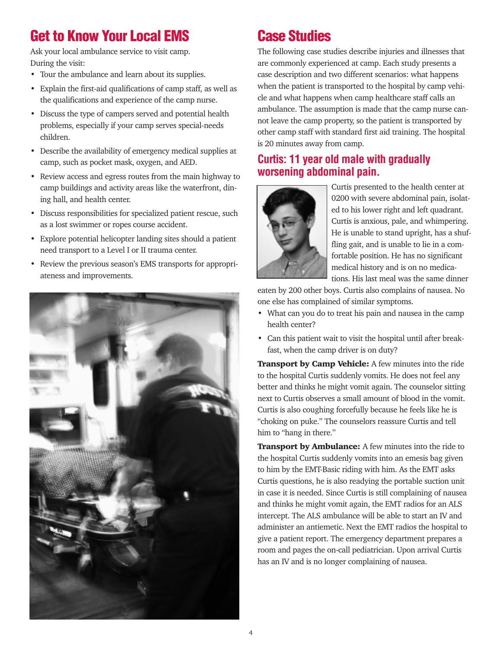# **Get to Know Your Local EMS**

Ask your local ambulance service to visit camp. During the visit:

- Tour the ambulance and learn about its supplies.
- Explain the first-aid qualifications of camp staff, as well as the qualifications and experience of the camp nurse.
- Discuss the type of campers served and potential health problems, especially if your camp serves special-needs children.
- Describe the availability of emergency medical supplies at camp, such as pocket mask, oxygen, and AED.
- Review access and egress routes from the main highway to camp buildings and activity areas like the waterfront, dining hall, and health center.
- Discuss responsibilities for specialized patient rescue, such as a lost swimmer or ropes course accident.
- Explore potential helicopter landing sites should a patient need transport to a Level I or II trauma center.
- Review the previous season's EMS transports for appropriateness and improvements.



# **Case Studies**

The following case studies describe injuries and illnesses that are commonly experienced at camp. Each study presents a case description and two different scenarios: what happens when the patient is transported to the hospital by camp vehicle and what happens when camp healthcare staff calls an ambulance. The assumption is made that the camp nurse cannot leave the camp property, so the patient is transported by other camp staff with standard first aid training. The hospital is 20 minutes away from camp.

#### **Curtis: 11 year old male with gradually worsening abdominal pain.**



Curtis presented to the health center at 0200 with severe abdominal pain, isolated to his lower right and left quadrant. Curtis is anxious, pale, and whimpering. He is unable to stand upright, has a shuffling gait, and is unable to lie in a comfortable position. He has no significant medical history and is on no medications. His last meal was the same dinner

eaten by 200 other boys. Curtis also complains of nausea. No one else has complained of similar symptoms.

- What can you do to treat his pain and nausea in the camp health center?
- Can this patient wait to visit the hospital until after breakfast, when the camp driver is on duty?

Transport by Camp Vehicle: A few minutes into the ride to the hospital Curtis suddenly vomits. He does not feel any better and thinks he might vomit again. The counselor sitting next to Curtis observes a small amount of blood in the vomit. Curtis is also coughing forcefully because he feels like he is "choking on puke." The counselors reassure Curtis and tell him to "hang in there."

Transport by Ambulance: A few minutes into the ride to the hospital Curtis suddenly vomits into an emesis bag given to him by the EMT-Basic riding with him. As the EMT asks Curtis questions, he is also readying the portable suction unit in case it is needed. Since Curtis is still complaining of nausea and thinks he might vomit again, the EMT radios for an ALS intercept. The ALS ambulance will be able to start an IV and administer an antiemetic. Next the EMT radios the hospital to give a patient report. The emergency department prepares a room and pages the on-call pediatrician. Upon arrival Curtis has an IV and is no longer complaining of nausea.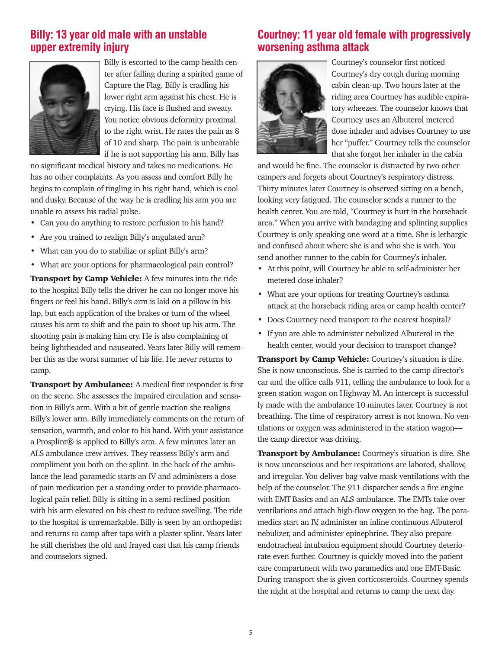#### **Billy: 13 year old male with an unstable upper extremity injury**



Billy is escorted to the camp health center after falling during a spirited game of Capture the Flag. Billy is cradling his lower right arm against his chest. He is crying. His face is flushed and sweaty. You notice obvious deformity proximal to the right wrist. He rates the pain as 8 of 10 and sharp. The pain is unbearable if he is not supporting his arm. Billy has

no significant medical history and takes no medications. He has no other complaints. As you assess and comfort Billy he begins to complain of tingling in his right hand, which is cool and dusky. Because of the way he is cradling his arm you are unable to assess his radial pulse.

- Can you do anything to restore perfusion to his hand?
- Are you trained to realign Billy's angulated arm?
- What can you do to stabilize or splint Billy's arm?
- What are your options for pharmacological pain control?

**Transport by Camp Vehicle:** A few minutes into the ride to the hospital Billy tells the driver he can no longer move his fingers or feel his hand. Billy's arm is laid on a pillow in his lap, but each application of the brakes or turn of the wheel causes his arm to shift and the pain to shoot up his arm. The shooting pain is making him cry. He is also complaining of being lightheaded and nauseated. Years later Billy will remember this as the worst summer of his life. He never returns to camp.

Transport by Ambulance: A medical first responder is first on the scene. She assesses the impaired circulation and sensation in Billy's arm. With a bit of gentle traction she realigns Billy's lower arm. Billy immediately comments on the return of sensation, warmth, and color to his hand. With your assistance a Prosplint® is applied to Billy's arm. A few minutes later an ALS ambulance crew arrives. They reassess Billy's arm and compliment you both on the splint. In the back of the ambulance the lead paramedic starts an IV and administers a dose of pain medication per a standing order to provide pharmacological pain relief. Billy is sitting in a semi-reclined position with his arm elevated on his chest to reduce swelling. The ride to the hospital is unremarkable. Billy is seen by an orthopedist and returns to camp after taps with a plaster splint. Years later he still cherishes the old and frayed cast that his camp friends and counselors signed.

#### **Courtney: 11 year old female with progressively worsening asthma attack**



Courtney's counselor first noticed Courtney's dry cough during morning cabin clean-up. Two hours later at the riding area Courtney has audible expiratory wheezes. The counselor knows that Courtney uses an Albuterol metered dose inhaler and advises Courtney to use her "puffer." Courtney tells the counselor that she forgot her inhaler in the cabin

and would be fine. The counselor is distracted by two other campers and forgets about Courtney's respiratory distress. Thirty minutes later Courtney is observed sitting on a bench, looking very fatigued. The counselor sends a runner to the health center. You are told, "Courtney is hurt in the horseback area." When you arrive with bandaging and splinting supplies Courtney is only speaking one word at a time. She is lethargic and confused about where she is and who she is with. You send another runner to the cabin for Courtney's inhaler.

- At this point, will Courtney be able to self-administer her metered dose inhaler?
- What are your options for treating Courtney's asthma attack at the horseback riding area or camp health center?
- Does Courtney need transport to the nearest hospital?
- If you are able to administer nebulized Albuterol in the health center, would your decision to transport change?

Transport by Camp Vehicle: Courtney's situation is dire. She is now unconscious. She is carried to the camp director's car and the office calls 911, telling the ambulance to look for a green station wagon on Highway M. An intercept is successfully made with the ambulance 10 minutes later. Courtney is not breathing. The time of respiratory arrest is not known. No ventilations or oxygen was administered in the station wagon the camp director was driving.

**Transport by Ambulance:** Courtney's situation is dire. She is now unconscious and her respirations are labored, shallow, and irregular. You deliver bag valve mask ventilations with the help of the counselor. The 911 dispatcher sends a fire engine with EMT-Basics and an ALS ambulance. The EMTs take over ventilations and attach high-flow oxygen to the bag. The paramedics start an IV, administer an inline continuous Albuterol nebulizer, and administer epinephrine. They also prepare endotracheal intubation equipment should Courtney deteriorate even further. Courtney is quickly moved into the patient care compartment with two paramedics and one EMT-Basic. During transport she is given corticosteroids. Courtney spends the night at the hospital and returns to camp the next day.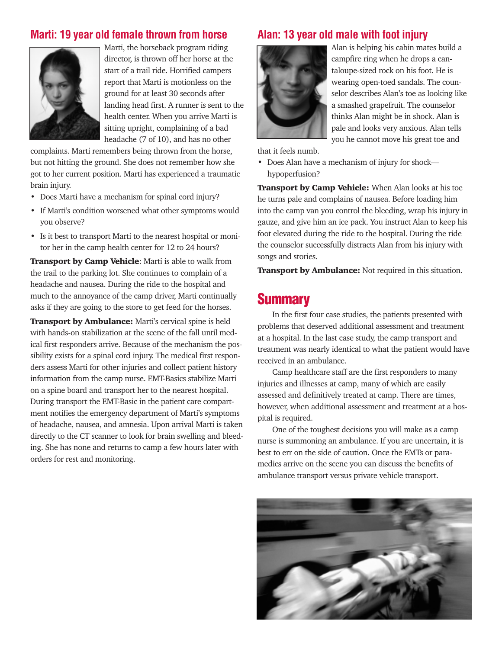#### **Marti: 19 year old female thrown from horse**



Marti, the horseback program riding director, is thrown off her horse at the start of a trail ride. Horrified campers report that Marti is motionless on the ground for at least 30 seconds after landing head first. A runner is sent to the health center. When you arrive Marti is sitting upright, complaining of a bad headache (7 of 10), and has no other

complaints. Marti remembers being thrown from the horse, but not hitting the ground. She does not remember how she got to her current position. Marti has experienced a traumatic brain injury.

- Does Marti have a mechanism for spinal cord injury?
- If Marti's condition worsened what other symptoms would you observe?
- Is it best to transport Marti to the nearest hospital or monitor her in the camp health center for 12 to 24 hours?

Transport by Camp Vehicle: Marti is able to walk from the trail to the parking lot. She continues to complain of a headache and nausea. During the ride to the hospital and much to the annoyance of the camp driver, Marti continually asks if they are going to the store to get feed for the horses.

**Transport by Ambulance:** Marti's cervical spine is held with hands-on stabilization at the scene of the fall until medical first responders arrive. Because of the mechanism the possibility exists for a spinal cord injury. The medical first responders assess Marti for other injuries and collect patient history information from the camp nurse. EMT-Basics stabilize Marti on a spine board and transport her to the nearest hospital. During transport the EMT-Basic in the patient care compartment notifies the emergency department of Marti's symptoms of headache, nausea, and amnesia. Upon arrival Marti is taken directly to the CT scanner to look for brain swelling and bleeding. She has none and returns to camp a few hours later with orders for rest and monitoring.

#### **Alan: 13 year old male with foot injury**



Alan is helping his cabin mates build a campfire ring when he drops a cantaloupe-sized rock on his foot. He is wearing open-toed sandals. The counselor describes Alan's toe as looking like a smashed grapefruit. The counselor thinks Alan might be in shock. Alan is pale and looks very anxious. Alan tells you he cannot move his great toe and

that it feels numb.

• Does Alan have a mechanism of injury for shock hypoperfusion?

**Transport by Camp Vehicle:** When Alan looks at his toe he turns pale and complains of nausea. Before loading him into the camp van you control the bleeding, wrap his injury in gauze, and give him an ice pack. You instruct Alan to keep his foot elevated during the ride to the hospital. During the ride the counselor successfully distracts Alan from his injury with songs and stories.

**Transport by Ambulance:** Not required in this situation.

#### **Summary**

In the first four case studies, the patients presented with problems that deserved additional assessment and treatment at a hospital. In the last case study, the camp transport and treatment was nearly identical to what the patient would have received in an ambulance.

Camp healthcare staff are the first responders to many injuries and illnesses at camp, many of which are easily assessed and definitively treated at camp. There are times, however, when additional assessment and treatment at a hospital is required.

One of the toughest decisions you will make as a camp nurse is summoning an ambulance. If you are uncertain, it is best to err on the side of caution. Once the EMTs or paramedics arrive on the scene you can discuss the benefits of ambulance transport versus private vehicle transport.